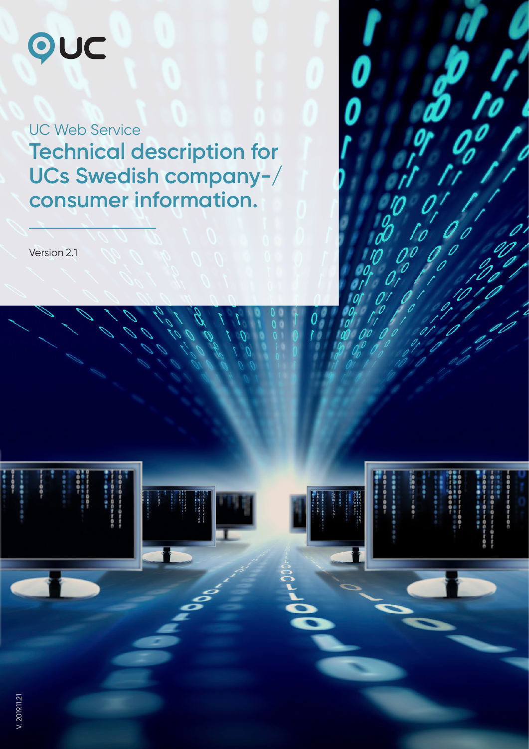# OUC

UC Web Service **Technical description for UCs Swedish company-/ consumer information.**

Version 2.1

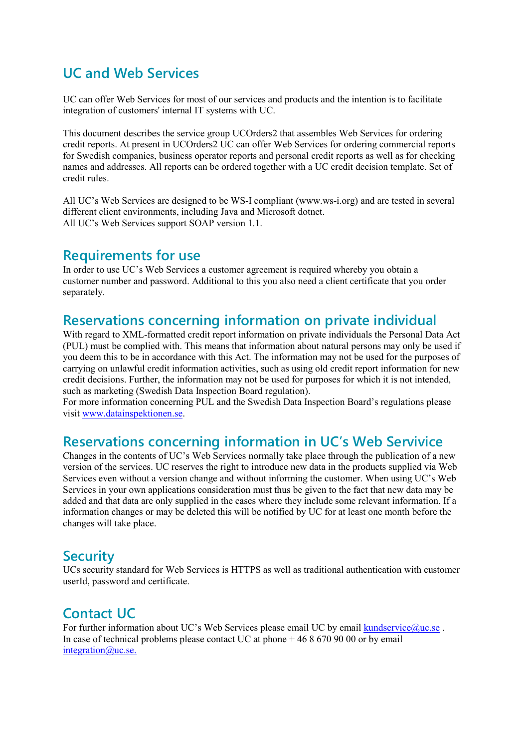# **UC and Web Services**

UC can offer Web Services for most of our services and products and the intention is to facilitate integration of customers' internal IT systems with UC.

This document describes the service group UCOrders2 that assembles Web Services for ordering credit reports. At present in UCOrders2 UC can offer Web Services for ordering commercial reports for Swedish companies, business operator reports and personal credit reports as well as for checking names and addresses. All reports can be ordered together with a UC credit decision template. Set of credit rules.

All UC's Web Services are designed to be WS-I compliant (www.ws-i.org) and are tested in several different client environments, including Java and Microsoft dotnet. All UC's Web Services support SOAP version 1.1.

## **Requirements for use**

In order to use UC's Web Services a customer agreement is required whereby you obtain a customer number and password. Additional to this you also need a client certificate that you order separately.

# **Reservations concerning information on private individual**

With regard to XML-formatted credit report information on private individuals the Personal Data Act (PUL) must be complied with. This means that information about natural persons may only be used if you deem this to be in accordance with this Act. The information may not be used for the purposes of carrying on unlawful credit information activities, such as using old credit report information for new credit decisions. Further, the information may not be used for purposes for which it is not intended, such as marketing (Swedish Data Inspection Board regulation).

For more information concerning PUL and the Swedish Data Inspection Board's regulations please visit [www.datainspektionen.se.](http://www.datainspektionen.se/)

# **Reservations concerning information in UC's Web Servivice**

Changes in the contents of UC's Web Services normally take place through the publication of a new version of the services. UC reserves the right to introduce new data in the products supplied via Web Services even without a version change and without informing the customer. When using UC's Web Services in your own applications consideration must thus be given to the fact that new data may be added and that data are only supplied in the cases where they include some relevant information. If a information changes or may be deleted this will be notified by UC for at least one month before the changes will take place.

# **Security**

UCs security standard for Web Services is HTTPS as well as traditional authentication with customer userId, password and certificate.

# **Contact UC**

For further information about UC's Web Services please email UC by email [kundservice@uc.se](mailto:kundservice@uc.se). In case of technical problems please contact UC at phone + 46 8 670 90 00 or by email integration@uc.se.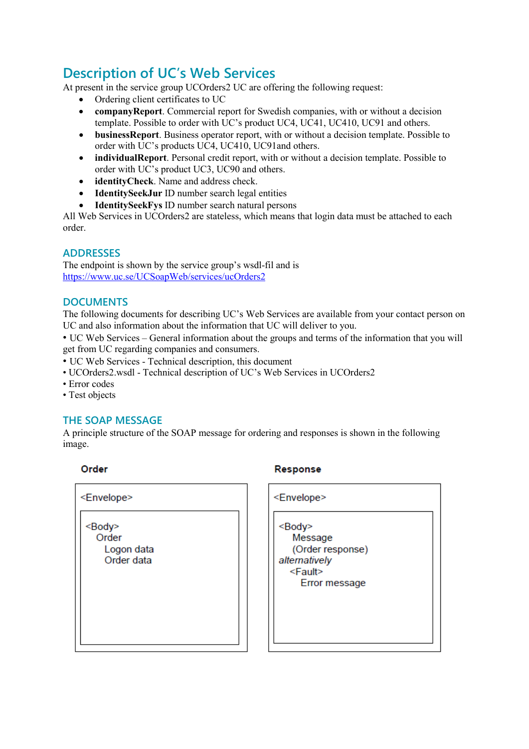# **Description of UC's Web Services**

At present in the service group UCOrders2 UC are offering the following request:

- Ordering client certificates to UC
- **companyReport**. Commercial report for Swedish companies, with or without a decision template. Possible to order with UC's product UC4, UC41, UC410, UC91 and others.
- **businessReport**. Business operator report, with or without a decision template. Possible to order with UC's products UC4, UC410, UC91and others.
- **individualReport**. Personal credit report, with or without a decision template. Possible to order with UC's product UC3, UC90 and others.
- **identityCheck**. Name and address check.
- **IdentitySeekJur** ID number search legal entities
- **IdentitySeekFys** ID number search natural persons

All Web Services in UCOrders2 are stateless, which means that login data must be attached to each order.

#### **ADDRESSES**

The endpoint is shown by the service group's wsdl-fil and is <https://www.uc.se/UCSoapWeb/services/ucOrders2>

#### **DOCUMENTS**

The following documents for describing UC's Web Services are available from your contact person on UC and also information about the information that UC will deliver to you.

• UC Web Services – General information about the groups and terms of the information that you will get from UC regarding companies and consumers.

• UC Web Services - Technical description, this document

- UCOrders2.wsdl Technical description of UC's Web Services in UCOrders2
- Error codes
- Test objects

#### **THE SOAP MESSAGE**

A principle structure of the SOAP message for ordering and responses is shown in the following image.

Order

| <envelope></envelope>                                 |
|-------------------------------------------------------|
| <body><br/>Order<br/>Logon data<br/>Order data</body> |
|                                                       |

#### Response

| <envelope></envelope>                                                                                  |
|--------------------------------------------------------------------------------------------------------|
| <body><br/>Message<br/>(Order response)<br/>alternatively<br/><fault><br/>Error message</fault></body> |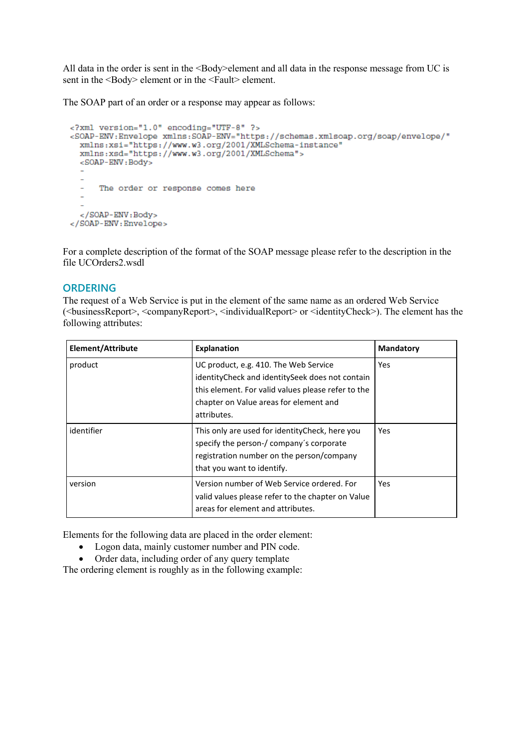All data in the order is sent in the <Body>element and all data in the response message from UC is sent in the <Body> element or in the <Fault> element.

The SOAP part of an order or a response may appear as follows:

```
<?xml version="1.0" encoding="UTF-8" ?>
<SOAP-ENV:Envelope xmlns:SOAP-ENV="https://schemas.xmlsoap.org/soap/envelope/"
 xmlns:xsi="https://www.w3.org/2001/XMLSchema-instance"
 xmlns:xsd="https://www.w3.org/2001/XMLSchema">
 <SOAP-ENV:Body>
  ÷.
     The order or response comes here
  </SOAP-ENV:Body>
</SOAP-ENV:Envelope>
```
For a complete description of the format of the SOAP message please refer to the description in the file UCOrders2.wsdl

#### **ORDERING**

The request of a Web Service is put in the element of the same name as an ordered Web Service (<businessReport>, <companyReport>, <individualReport> or <identityCheck>). The element has the following attributes:

| Element/Attribute | <b>Explanation</b>                                                                                                                                                                                      | <b>Mandatory</b> |
|-------------------|---------------------------------------------------------------------------------------------------------------------------------------------------------------------------------------------------------|------------------|
| product           | UC product, e.g. 410. The Web Service<br>identityCheck and identitySeek does not contain<br>this element. For valid values please refer to the<br>chapter on Value areas for element and<br>attributes. | Yes              |
| identifier        | This only are used for identity Check, here you<br>specify the person-/ company's corporate<br>registration number on the person/company<br>that you want to identify.                                  | Yes              |
| version           | Version number of Web Service ordered. For<br>valid values please refer to the chapter on Value<br>areas for element and attributes.                                                                    | Yes              |

Elements for the following data are placed in the order element:

- Logon data, mainly customer number and PIN code.
- Order data, including order of any query template

The ordering element is roughly as in the following example: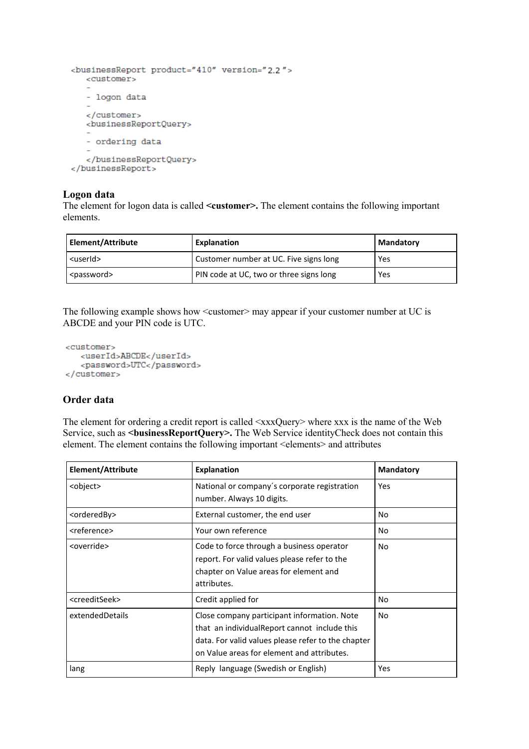```
<br />businessReport product="410" version="2.2">
   <customer>
   - logon data
   </customer>
  <businessReportQuery>
   - ordering data
   </businessReportQuery>
</businessReport>
```
#### **Logon data**

The element for logon data is called **<customer>.** The element contains the following important elements.

| Element/Attribute     | Explanation                             | Mandatory |
|-----------------------|-----------------------------------------|-----------|
| <userid></userid>     | Customer number at UC. Five signs long  | Yes       |
| <password></password> | PIN code at UC, two or three signs long | Yes       |

The following example shows how  $\leq$  customer $\geq$  may appear if your customer number at UC is ABCDE and your PIN code is UTC.

```
<customer>
  <userId>ABCDE</userId>
   <password>UTC</password>
</customer>
```
#### **Order data**

The element for ordering a credit report is called <xxxQuery> where xxx is the name of the Web Service, such as *<u>shusinessReportQuery></u>*. The Web Service identityCheck does not contain this element. The element contains the following important <elements> and attributes

| Element/Attribute           | <b>Explanation</b>                                                                                                                                                                              | <b>Mandatory</b> |
|-----------------------------|-------------------------------------------------------------------------------------------------------------------------------------------------------------------------------------------------|------------------|
| <object></object>           | National or company's corporate registration<br>number. Always 10 digits.                                                                                                                       | Yes              |
| <orderedby></orderedby>     | External customer, the end user                                                                                                                                                                 | No.              |
| <reference></reference>     | Your own reference                                                                                                                                                                              | No.              |
| <override></override>       | Code to force through a business operator<br>report. For valid values please refer to the<br>chapter on Value areas for element and<br>attributes.                                              | No.              |
| <creeditseek></creeditseek> | Credit applied for                                                                                                                                                                              | No               |
| extendedDetails             | Close company participant information. Note<br>that an individualReport cannot include this<br>data. For valid values please refer to the chapter<br>on Value areas for element and attributes. | No               |
| lang                        | Reply language (Swedish or English)                                                                                                                                                             | Yes              |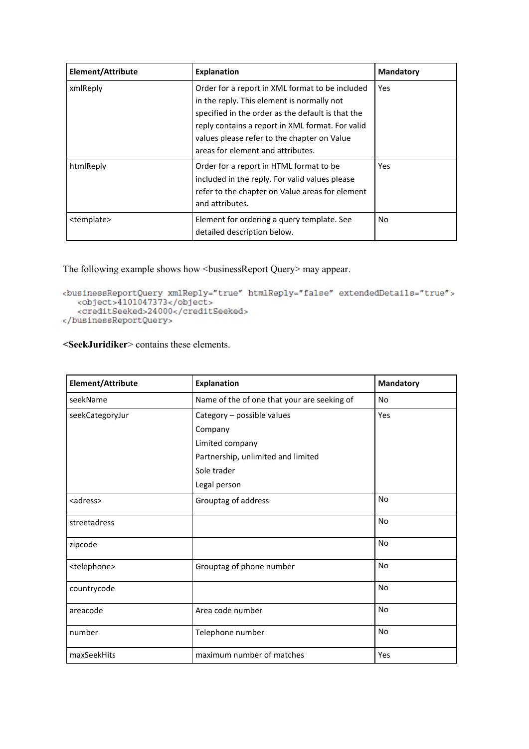| Element/Attribute     | <b>Explanation</b>                                                                                                                                                                                                                                                                         | <b>Mandatory</b> |
|-----------------------|--------------------------------------------------------------------------------------------------------------------------------------------------------------------------------------------------------------------------------------------------------------------------------------------|------------------|
| xmlReply              | Order for a report in XML format to be included<br>in the reply. This element is normally not<br>specified in the order as the default is that the<br>reply contains a report in XML format. For valid<br>values please refer to the chapter on Value<br>areas for element and attributes. | Yes              |
| htmlReply             | Order for a report in HTML format to be<br>included in the reply. For valid values please<br>refer to the chapter on Value areas for element<br>and attributes.                                                                                                                            | Yes.             |
| <template></template> | Element for ordering a query template. See<br>detailed description below.                                                                                                                                                                                                                  | No               |

The following example shows how <br/>sbusinessReport Query> may appear.

```
</businessReportQuery>
```
**<SeekJuridiker**> contains these elements.

| Element/Attribute       | <b>Explanation</b>                          | <b>Mandatory</b> |
|-------------------------|---------------------------------------------|------------------|
| seekName                | Name of the of one that your are seeking of | No               |
| seekCategoryJur         | Category - possible values                  | Yes              |
|                         | Company                                     |                  |
|                         | Limited company                             |                  |
|                         | Partnership, unlimited and limited          |                  |
|                         | Sole trader                                 |                  |
|                         | Legal person                                |                  |
| <adress></adress>       | Grouptag of address                         | <b>No</b>        |
| streetadress            |                                             | <b>No</b>        |
| zipcode                 |                                             | <b>No</b>        |
| <telephone></telephone> | Grouptag of phone number                    | <b>No</b>        |
| countrycode             |                                             | <b>No</b>        |
| areacode                | Area code number                            | No               |
| number                  | Telephone number                            | <b>No</b>        |
| maxSeekHits             | maximum number of matches                   | Yes              |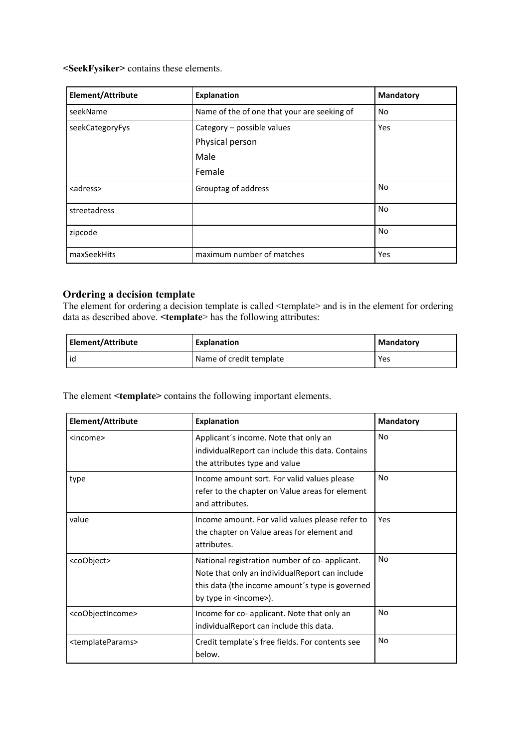**<SeekFysiker>** contains these elements.

| Element/Attribute | <b>Explanation</b>                          | <b>Mandatory</b> |
|-------------------|---------------------------------------------|------------------|
| seekName          | Name of the of one that your are seeking of | No               |
| seekCategoryFys   | Category - possible values                  | Yes              |
|                   | Physical person                             |                  |
|                   | Male                                        |                  |
|                   | Female                                      |                  |
| <adress></adress> | Grouptag of address                         | No               |
| streetadress      |                                             | No               |
| zipcode           |                                             | No               |
| maxSeekHits       | maximum number of matches                   | Yes              |

### **Ordering a decision template**

The element for ordering a decision template is called <template> and is in the element for ordering data as described above. **<template**> has the following attributes:

| Element/Attribute | Explanation             | Mandatory |
|-------------------|-------------------------|-----------|
| id                | Name of credit template | Yes       |

The element **<template>** contains the following important elements.

| Element/Attribute                 | <b>Explanation</b>                                                                                                                                                                    | <b>Mandatory</b> |
|-----------------------------------|---------------------------------------------------------------------------------------------------------------------------------------------------------------------------------------|------------------|
| <income></income>                 | Applicant's income. Note that only an<br>individual Report can include this data. Contains<br>the attributes type and value                                                           | No               |
| type                              | Income amount sort. For valid values please<br>refer to the chapter on Value areas for element<br>and attributes.                                                                     | No               |
| value                             | Income amount. For valid values please refer to<br>the chapter on Value areas for element and<br>attributes.                                                                          | Yes              |
| <coobject></coobject>             | National registration number of co-applicant.<br>Note that only an individual Report can include<br>this data (the income amount's type is governed<br>by type in <income>).</income> | No               |
| <coobjectincome></coobjectincome> | Income for co- applicant. Note that only an<br>individualReport can include this data.                                                                                                | No               |
| <templateparams></templateparams> | Credit template's free fields. For contents see<br>below.                                                                                                                             | No               |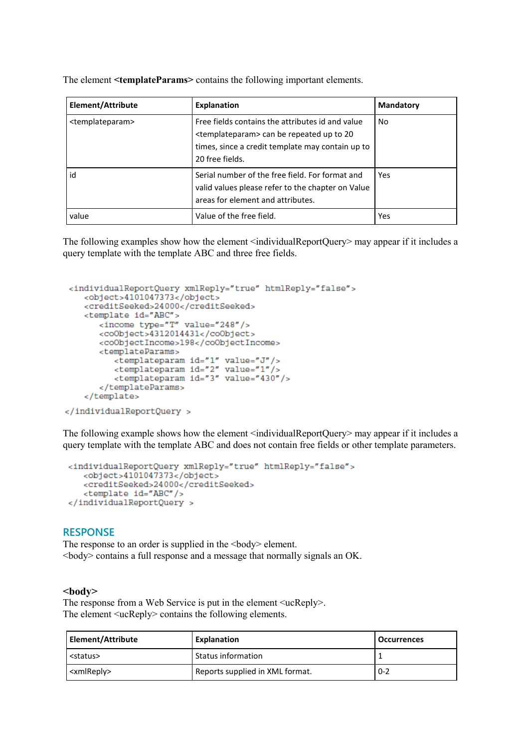| Element/Attribute               | <b>Explanation</b>                                                                                                                                                                    | <b>Mandatory</b> |
|---------------------------------|---------------------------------------------------------------------------------------------------------------------------------------------------------------------------------------|------------------|
| <templateparam></templateparam> | Free fields contains the attributes id and value<br><templateparam> can be repeated up to 20<br/>times, since a credit template may contain up to<br/>20 free fields.</templateparam> | No               |
| id                              | Serial number of the free field. For format and<br>valid values please refer to the chapter on Value<br>areas for element and attributes.                                             | Yes              |
| value                           | Value of the free field.                                                                                                                                                              | Yes              |

The element **<templateParams>** contains the following important elements.

The following examples show how the element <individualReportQuery> may appear if it includes a query template with the template ABC and three free fields.

```
<individualReportQuery xmlReply="true" htmlReply="false">
    <object>4101047373</object>
    <creditSeeked>24000</creditSeeked>
    <template id="ABC">
        <income type="T" value="248"/>
        <coObject>4312014431</coObject>
        <coObjectIncome>198</coObjectIncome>
        <templateParams>
           <br/>templateparam id="1" value="J"/><br><templateparam id="2" value="1"/><br><templateparam id="3" value="1"/>
        </templateParams>
    </template>
</individualReportQuery >
```
The following example shows how the element <individualReportQuery> may appear if it includes a query template with the template ABC and does not contain free fields or other template parameters.

```
<individualReportQuery xmlReply="true" htmlReply="false">
   <object>4101047373</object>
   <creditSeeked>24000</creditSeeked>
   <template id="ABC"/>
</individualReportQuery >
```
#### **RESPONSE**

The response to an order is supplied in the <br/>body> element. <body> contains a full response and a message that normally signals an OK.

#### **<body>**

The response from a Web Service is put in the element  $\langle$ ucReply>. The element <ucReply> contains the following elements.

| Element/Attribute     | <b>Explanation</b>              | <b>Occurrences</b> |
|-----------------------|---------------------------------|--------------------|
| <status></status>     | Status information              |                    |
| <xmlreply></xmlreply> | Reports supplied in XML format. | $0 - 2$            |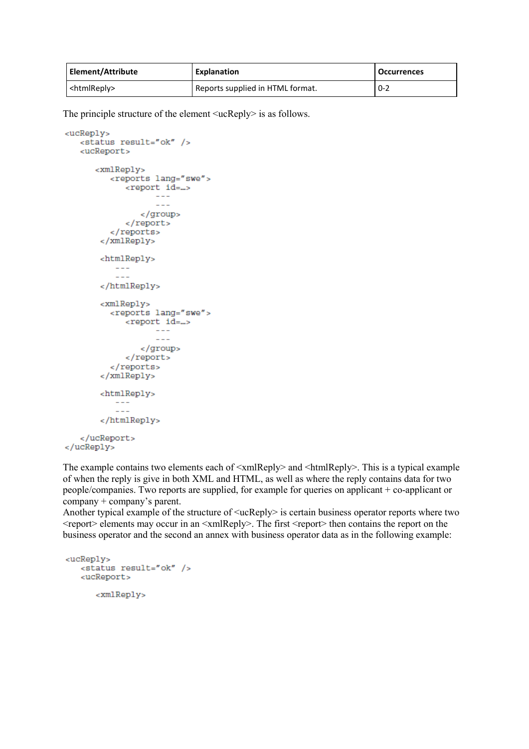| Element/Attribute       | Explanation                      | <b>Occurrences</b> |
|-------------------------|----------------------------------|--------------------|
| <htmlreply></htmlreply> | Reports supplied in HTML format. | $0 - 2$            |

The principle structure of the element <ucReply> is as follows.

```
<ucReply>
   <status result="ok" />
   <ucReport>
      <xmlReply>
          <reports lang="swe">
             <report id=...>
                    \frac{1}{2}- -</group>
             </report>
          </reports>
       \langle/xmlReply>
       <htmlReply>
          - - -- -</htmlReply>
       <xmlReply>
          <reports lang="swe">
             <report id=...>
                   \sim - \sim- -</group>
             </report>
          </reports>
       </xmlReply>
       <htmlReply>
          - - -- - -</htmlReply>
   </ucReport>
</ucReply>
```
The example contains two elements each of  $\langle \text{xmlReply>}\rangle$  and  $\langle \text{htmlReply>}\rangle$ . This is a typical example of when the reply is give in both XML and HTML, as well as where the reply contains data for two people/companies. Two reports are supplied, for example for queries on applicant + co-applicant or company + company's parent.

Another typical example of the structure of <ucReply> is certain business operator reports where two  $\le$ report $\ge$  elements may occur in an  $\le$ xmlReply $\ge$ . The first  $\le$ report $\ge$  then contains the report on the business operator and the second an annex with business operator data as in the following example:

```
<ucReply>
  <status result="ok" />
   <ucReport>
      <xmlReply>
```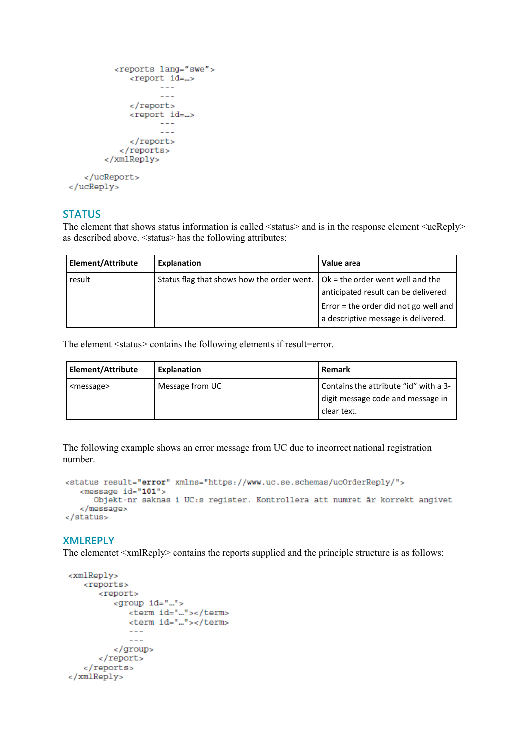```
<reports lang="swe">
             <report id=...>
                     - -</report>
              <report id=...>
                    - - -\sim \sim \sim</report>
           </reports>
        </xmlReply>
   </ucReport>
</ucReply>
```
#### **STATUS**

The element that shows status information is called <status> and is in the response element <ucReply> as described above. <status> has the following attributes:

| Element/Attribute | Explanation                                                                         | Value area                            |
|-------------------|-------------------------------------------------------------------------------------|---------------------------------------|
| result            | Status flag that shows how the order went. $\vert$ Ok = the order went well and the |                                       |
|                   |                                                                                     | anticipated result can be delivered   |
|                   |                                                                                     | Error = the order did not go well and |
|                   |                                                                                     | a descriptive message is delivered.   |

The element <status> contains the following elements if result=error.

| Element/Attribute   | Explanation     | <b>Remark</b>                                                                             |
|---------------------|-----------------|-------------------------------------------------------------------------------------------|
| <message></message> | Message from UC | Contains the attribute "id" with a 3-<br>digit message code and message in<br>clear text. |

The following example shows an error message from UC due to incorrect national registration number.

```
<status result="error" xmlns="https://www.uc.se.schemas/ucOrderReply/">
   <message id="101">
     Objekt-nr saknas i UC:s register. Kontrollera att numret är korrekt angivet
   </message>
\frac{1}{2}status>
```
#### **XMLREPLY**

The elementet  $\langle \text{xmlReply} \rangle$  contains the reports supplied and the principle structure is as follows:

```
<xmlReply>
   <reports>
      <report>
         <group id="...">
            <term id="..."></term>
            <term id="..."></term>
            - -- -</group>
      </report>
   </reports>
</xmlReply>
```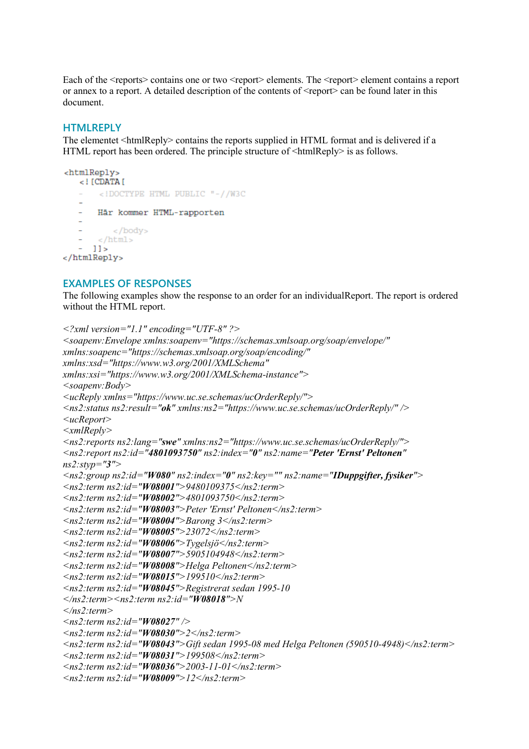Each of the <reports> contains one or two <report> elements. The <report> element contains a report or annex to a report. A detailed description of the contents of  $\leq$ report $\geq$  can be found later in this document.

#### **HTMLREPLY**

The elementet <htmlReply> contains the reports supplied in HTML format and is delivered if a HTML report has been ordered. The principle structure of  $\langle$ htmlReply $\rangle$  is as follows.

```
<htmlReply>
   <! ICDATAI<!DOCTYPE HTML PUBLIC "-//W3C
     Här kommer HTML-rapporten
         \langlebody>
      </html>
  -11</htmlReply>
```
#### **EXAMPLES OF RESPONSES**

The following examples show the response to an order for an individualReport. The report is ordered without the HTML report.

```
<?xml version="1.1" encoding="UTF-8" ?>
<soapenv:Envelope xmlns:soapenv="https://schemas.xmlsoap.org/soap/envelope/"
xmlns:soapenc="https://schemas.xmlsoap.org/soap/encoding/"
xmlns:xsd="https://www.w3.org/2001/XMLSchema"
xmlns:xsi="https://www.w3.org/2001/XMLSchema-instance">
<soapenv:Body>
<ucReply xmlns="https://www.uc.se.schemas/ucOrderReply/">
<ns2:status ns2:result="ok" xmlns:ns2="https://www.uc.se.schemas/ucOrderReply/" />
<ucReport>
<xmlReply>
<ns2:reports ns2:lang="swe" xmlns:ns2="https://www.uc.se.schemas/ucOrderReply/">
<ns2:report ns2:id="4801093750" ns2:index="0" ns2:name="Peter 'Ernst' Peltonen" 
ns2:styp="3">
<ns2:group ns2:id="W080" ns2:index="0" ns2:key="" ns2:name="IDuppgifter, fysiker">
<ns2:term ns2:id="W08001">9480109375</ns2:term>
<ns2:term ns2:id="W08002">4801093750</ns2:term>
<ns2:term ns2:id="W08003">Peter 'Ernst' Peltonen</ns2:term>
<ns2:term ns2:id="W08004">Barong 3</ns2:term>
<ns2:term ns2:id="W08005">23072</ns2:term>
<ns2:term ns2:id="W08006">Tygelsjö</ns2:term>
<ns2:term ns2:id="W08007">5905104948</ns2:term>
<ns2:term ns2:id="W08008">Helga Peltonen</ns2:term>
<ns2:term ns2:id="W08015">199510</ns2:term>
<ns2:term ns2:id="W08045">Registrerat sedan 1995-10
</ns2:term><ns2:term ns2:id="W08018">N
</ns2:term>
<ns2:term ns2:id="W08027" />
<ns2:term ns2:id="W08030">2</ns2:term>
<ns2:term ns2:id="W08043">Gift sedan 1995-08 med Helga Peltonen (590510-4948)</ns2:term>
<ns2:term ns2:id="W08031">199508</ns2:term>
<ns2:term ns2:id="W08036">2003-11-01</ns2:term>
<ns2:term ns2:id="W08009">12</ns2:term>
```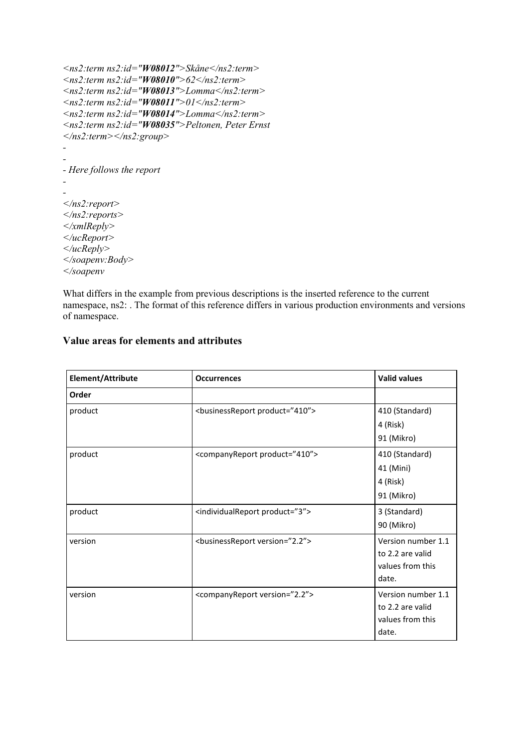```
<ns2:term ns2:id="W08012">Skåne</ns2:term>
<ns2:term ns2:id="W08010">62</ns2:term>
<ns2:term ns2:id="W08013">Lomma</ns2:term>
<ns2:term ns2:id="W08011">01</ns2:term>
<ns2:term ns2:id="W08014">Lomma</ns2:term>
<ns2:term ns2:id="W08035">Peltonen, Peter Ernst
</ns2:term></ns2:group>
-
-
- Here follows the report
-
-
</ns2:report>
</ns2:reports>
</xmlReply>
</ucReport>
</ucReply>
</soapenv:Body>
</soapenv
```
What differs in the example from previous descriptions is the inserted reference to the current namespace, ns2: . The format of this reference differs in various production environments and versions of namespace.

| Element/Attribute<br><b>Occurrences</b> |                                                   | <b>Valid values</b> |  |
|-----------------------------------------|---------------------------------------------------|---------------------|--|
| Order                                   |                                                   |                     |  |
| product                                 | <businessreport product="410"></businessreport>   | 410 (Standard)      |  |
|                                         |                                                   | 4 (Risk)            |  |
|                                         |                                                   | 91 (Mikro)          |  |
| product                                 | <companyreport product="410"></companyreport>     | 410 (Standard)      |  |
|                                         |                                                   | 41 (Mini)           |  |
|                                         |                                                   | 4 (Risk)            |  |
|                                         |                                                   | 91 (Mikro)          |  |
| product                                 | <individualreport product="3"></individualreport> | 3 (Standard)        |  |
|                                         |                                                   | 90 (Mikro)          |  |
| version                                 | <businessreport version="2.2"></businessreport>   | Version number 1.1  |  |
|                                         |                                                   | to 2.2 are valid    |  |
|                                         |                                                   | values from this    |  |
|                                         |                                                   | date.               |  |
| version                                 | <companyreport version="2.2"></companyreport>     | Version number 1.1  |  |
|                                         |                                                   | to 2.2 are valid    |  |
|                                         |                                                   | values from this    |  |
|                                         |                                                   | date.               |  |

#### **Value areas for elements and attributes**

T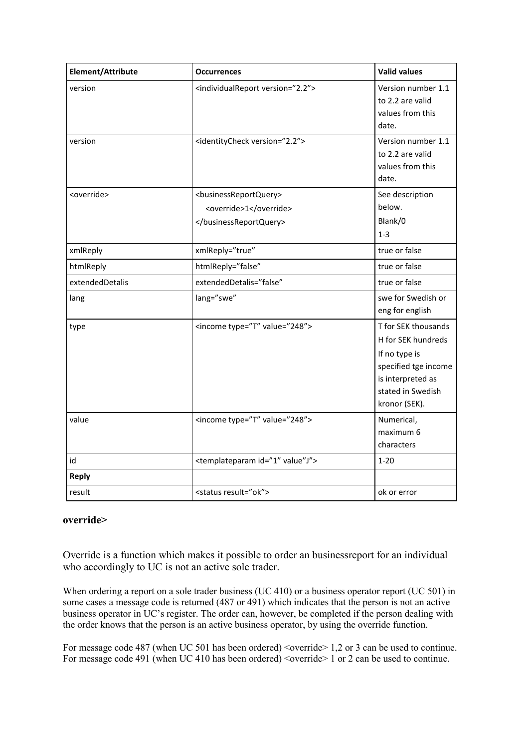| Element/Attribute     | <b>Occurrences</b>                                                          |                                                                                                                                               |
|-----------------------|-----------------------------------------------------------------------------|-----------------------------------------------------------------------------------------------------------------------------------------------|
| version               | <individualreport version="2.2"></individualreport>                         | Version number 1.1<br>to 2.2 are valid<br>values from this<br>date.                                                                           |
| version               | <identitycheck version="2.2"></identitycheck>                               | Version number 1.1<br>to 2.2 are valid<br>values from this<br>date.                                                                           |
| <override></override> | <businessreportquery><br/><override>1</override><br/></businessreportquery> | See description<br>below.<br>Blank/0<br>$1 - 3$                                                                                               |
| xmlReply              | xmlReply="true"                                                             | true or false                                                                                                                                 |
| htmlReply             | htmlReply="false"                                                           | true or false                                                                                                                                 |
| extendedDetalis       | extendedDetalis="false"                                                     | true or false                                                                                                                                 |
| lang                  | lang="swe"                                                                  | swe for Swedish or<br>eng for english                                                                                                         |
| type                  | <income type="T" value="248"></income>                                      | T for SEK thousands<br>H for SEK hundreds<br>If no type is<br>specified tge income<br>is interpreted as<br>stated in Swedish<br>kronor (SEK). |
| value                 | <income type="T" value="248"></income>                                      | Numerical,<br>maximum 6<br>characters                                                                                                         |
| id                    | <templateparam id="1" value"j"=""></templateparam>                          | $1 - 20$                                                                                                                                      |
| <b>Reply</b>          |                                                                             |                                                                                                                                               |
| result                | <status result="ok"></status>                                               | ok or error                                                                                                                                   |

#### **override>**

Override is a function which makes it possible to order an businessreport for an individual who accordingly to UC is not an active sole trader.

When ordering a report on a sole trader business (UC 410) or a business operator report (UC 501) in some cases a message code is returned (487 or 491) which indicates that the person is not an active business operator in UC's register. The order can, however, be completed if the person dealing with the order knows that the person is an active business operator, by using the override function.

For message code 487 (when UC 501 has been ordered) < override > 1,2 or 3 can be used to continue. For message code 491 (when UC 410 has been ordered)  $\leq$  override  $\geq$  1 or 2 can be used to continue.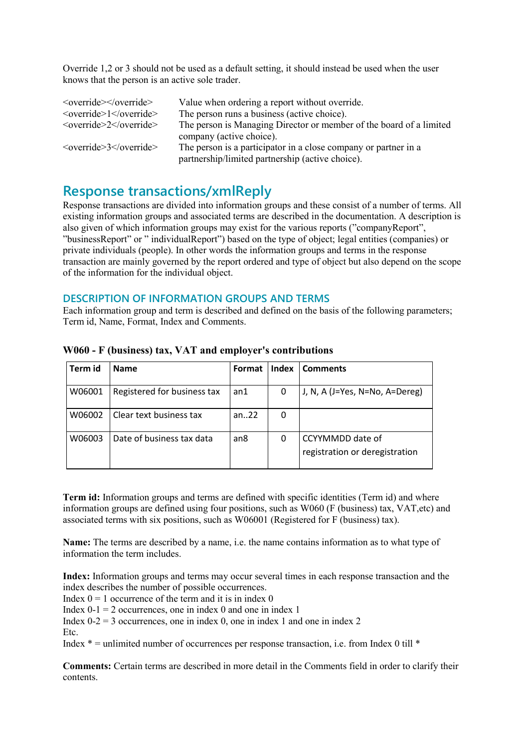Override 1,2 or 3 should not be used as a default setting, it should instead be used when the user knows that the person is an active sole trader.

| <override> </override><br>$\le$ override> $1 \le$ /override> | Value when ordering a report without override.<br>The person runs a business (active choice).                       |
|--------------------------------------------------------------|---------------------------------------------------------------------------------------------------------------------|
| $\le$ override $\ge$ 2 $\le$ /override $\ge$                 | The person is Managing Director or member of the board of a limited<br>company (active choice).                     |
| $\le$ override $\ge$ 3 $\le$ /override $\ge$                 | The person is a participator in a close company or partner in a<br>partnership/limited partnership (active choice). |

# **Response transactions/xmlReply**

Response transactions are divided into information groups and these consist of a number of terms. All existing information groups and associated terms are described in the documentation. A description is also given of which information groups may exist for the various reports ("companyReport", "businessReport" or " individualReport") based on the type of object; legal entities (companies) or private individuals (people). In other words the information groups and terms in the response transaction are mainly governed by the report ordered and type of object but also depend on the scope of the information for the individual object.

#### **DESCRIPTION OF INFORMATION GROUPS AND TERMS**

Each information group and term is described and defined on the basis of the following parameters; Term id, Name, Format, Index and Comments.

| Term id | <b>Name</b>                 | Format          | <b>Index</b> | <b>Comments</b>                                    |
|---------|-----------------------------|-----------------|--------------|----------------------------------------------------|
| W06001  | Registered for business tax | an1             | 0            | J, N, A (J=Yes, N=No, A=Dereg)                     |
| W06002  | Clear text business tax     | an $.22$        | 0            |                                                    |
| W06003  | Date of business tax data   | an <sub>8</sub> | 0            | CCYYMMDD date of<br>registration or deregistration |

**W060 - F (business) tax, VAT and employer's contributions**

**Term id:** Information groups and terms are defined with specific identities (Term id) and where information groups are defined using four positions, such as W060 (F (business) tax, VAT,etc) and associated terms with six positions, such as W06001 (Registered for F (business) tax).

**Name:** The terms are described by a name, i.e. the name contains information as to what type of information the term includes.

**Index:** Information groups and terms may occur several times in each response transaction and the index describes the number of possible occurrences.

Index  $0 = 1$  occurrence of the term and it is in index 0

Index  $0-1 = 2$  occurrences, one in index 0 and one in index 1

Index  $0-2 = 3$  occurrences, one in index 0, one in index 1 and one in index 2

Etc.

Index  $* =$  unlimited number of occurrences per response transaction, i.e. from Index 0 till  $*$ 

**Comments:** Certain terms are described in more detail in the Comments field in order to clarify their contents.